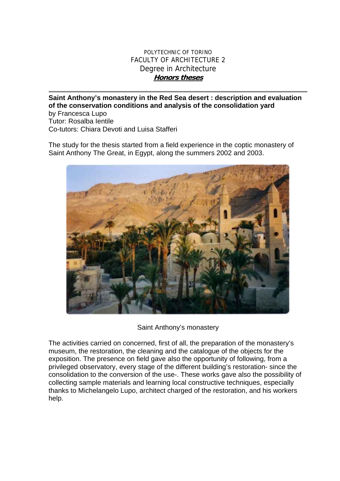## POLYTECHNIC OF TORINO FACULTY OF ARCHITECTURE 2 Degree in Architecture **Honors theses**

**Saint Anthony's monastery in the Red Sea desert : description and evaluation of the conservation conditions and analysis of the consolidation yard**  by Francesca Lupo Tutor: Rosalba Ientile Co-tutors: Chiara Devoti and Luisa Stafferi

The study for the thesis started from a field experience in the coptic monastery of Saint Anthony The Great, in Egypt, along the summers 2002 and 2003.



Saint Anthony's monastery

The activities carried on concerned, first of all, the preparation of the monastery's museum, the restoration, the cleaning and the catalogue of the objects for the exposition. The presence on field gave also the opportunity of following, from a privileged observatory, every stage of the different building's restoration- since the consolidation to the conversion of the use-. These works gave also the possibility of collecting sample materials and learning local constructive techniques, especially thanks to Michelangelo Lupo, architect charged of the restoration, and his workers help.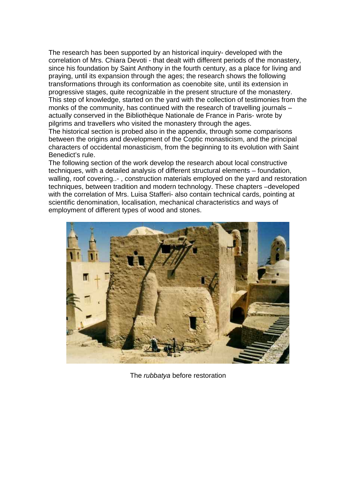The research has been supported by an historical inquiry- developed with the correlation of Mrs. Chiara Devoti - that dealt with different periods of the monastery, since his foundation by Saint Anthony in the fourth century, as a place for living and praying, until its expansion through the ages; the research shows the following transformations through its conformation as coenobite site, until its extension in progressive stages, quite recognizable in the present structure of the monastery. This step of knowledge, started on the yard with the collection of testimonies from the monks of the community, has continued with the research of travelling journals – actually conserved in the Bibliothèque Nationale de France in Paris- wrote by pilgrims and travellers who visited the monastery through the ages.

The historical section is probed also in the appendix, through some comparisons between the origins and development of the Coptic monasticism, and the principal characters of occidental monasticism, from the beginning to its evolution with Saint Benedict's rule.

The following section of the work develop the research about local constructive techniques, with a detailed analysis of different structural elements – foundation, walling, roof covering..- , construction materials employed on the yard and restoration techniques, between tradition and modern technology. These chapters –developed with the correlation of Mrs. Luisa Stafferi- also contain technical cards, pointing at scientific denomination, localisation, mechanical characteristics and ways of employment of different types of wood and stones.



The *rubbatya* before restoration